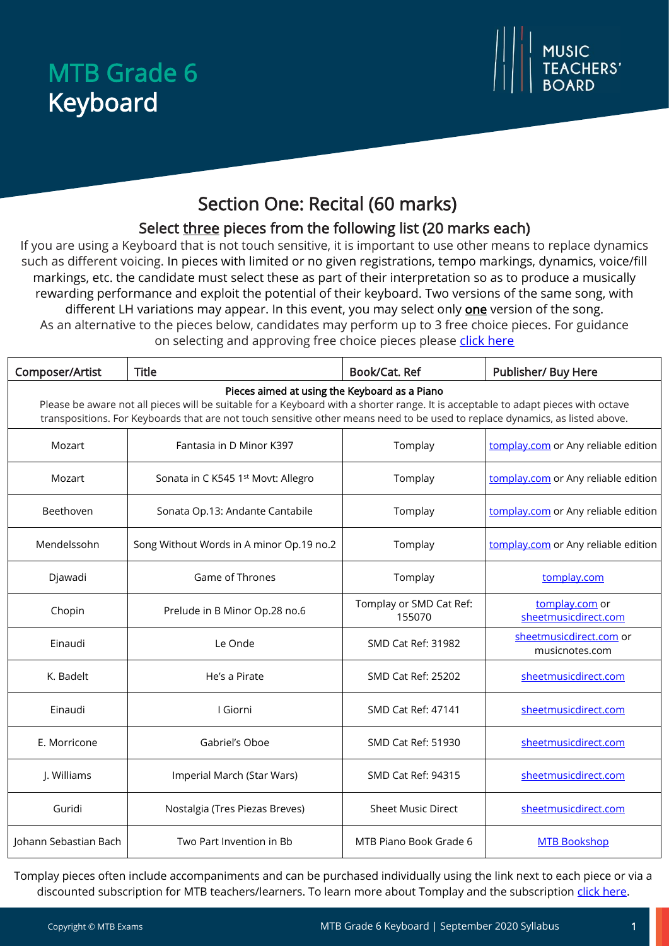# MTB Grade 6 Keyboard



## Section One: Recital (60 marks)

### Select three pieces from the following list (20 marks each)

If you are using a Keyboard that is not touch sensitive, it is important to use other means to replace dynamics such as different voicing. In pieces with limited or no given registrations, tempo markings, dynamics, voice/fill markings, etc. the candidate must select these as part of their interpretation so as to produce a musically rewarding performance and exploit the potential of their keyboard. Two versions of the same song, with different LH variations may appear. In this event, you may select only **one** version of the song. As an alternative to the pieces below, candidates may perform up to 3 free choice pieces. For guidance on selecting and approving free choice pieces please [click here](https://www.mtbexams.com/how-it-works/free-choice-pieces-guidance/)

| Composer/Artist                                                                                                                                                                                                                                                                                                    | <b>Title</b>                             | Book/Cat. Ref                     | Publisher/ Buy Here                       |  |  |
|--------------------------------------------------------------------------------------------------------------------------------------------------------------------------------------------------------------------------------------------------------------------------------------------------------------------|------------------------------------------|-----------------------------------|-------------------------------------------|--|--|
| Pieces aimed at using the Keyboard as a Piano<br>Please be aware not all pieces will be suitable for a Keyboard with a shorter range. It is acceptable to adapt pieces with octave<br>transpositions. For Keyboards that are not touch sensitive other means need to be used to replace dynamics, as listed above. |                                          |                                   |                                           |  |  |
| Mozart                                                                                                                                                                                                                                                                                                             | Fantasia in D Minor K397                 | Tomplay                           | tomplay.com or Any reliable edition       |  |  |
| Mozart                                                                                                                                                                                                                                                                                                             | Sonata in C K545 1st Movt: Allegro       | Tomplay                           | tomplay.com or Any reliable edition       |  |  |
| Beethoven                                                                                                                                                                                                                                                                                                          | Sonata Op.13: Andante Cantabile          | Tomplay                           | tomplay.com or Any reliable edition       |  |  |
| Mendelssohn                                                                                                                                                                                                                                                                                                        | Song Without Words in A minor Op.19 no.2 | Tomplay                           | tomplay.com or Any reliable edition       |  |  |
| Djawadi                                                                                                                                                                                                                                                                                                            | Game of Thrones                          | Tomplay                           | tomplay.com                               |  |  |
| Chopin                                                                                                                                                                                                                                                                                                             | Prelude in B Minor Op.28 no.6            | Tomplay or SMD Cat Ref:<br>155070 | tomplay.com or<br>sheetmusicdirect.com    |  |  |
| Einaudi                                                                                                                                                                                                                                                                                                            | Le Onde                                  | <b>SMD Cat Ref: 31982</b>         | sheetmusicdirect.com or<br>musicnotes.com |  |  |
| K. Badelt                                                                                                                                                                                                                                                                                                          | He's a Pirate                            | <b>SMD Cat Ref: 25202</b>         | sheetmusicdirect.com                      |  |  |
| Einaudi                                                                                                                                                                                                                                                                                                            | I Giorni                                 | <b>SMD Cat Ref: 47141</b>         | sheetmusicdirect.com                      |  |  |
| E. Morricone                                                                                                                                                                                                                                                                                                       | Gabriel's Oboe                           | <b>SMD Cat Ref: 51930</b>         | sheetmusicdirect.com                      |  |  |
| J. Williams                                                                                                                                                                                                                                                                                                        | Imperial March (Star Wars)               | SMD Cat Ref: 94315                | sheetmusicdirect.com                      |  |  |
| Guridi                                                                                                                                                                                                                                                                                                             | Nostalgia (Tres Piezas Breves)           | <b>Sheet Music Direct</b>         | sheetmusicdirect.com                      |  |  |
| Johann Sebastian Bach                                                                                                                                                                                                                                                                                              | Two Part Invention in Bb                 | MTB Piano Book Grade 6            | <b>MTB Bookshop</b>                       |  |  |

Tomplay pieces often include accompaniments and can be purchased individually using the link next to each piece or via a discounted subscription for MTB teachers/learners. To learn more about Tomplay and the subscription [click here.](https://www.mtbexams.com/2020/09/14/mtb-partner-with-tomplay/)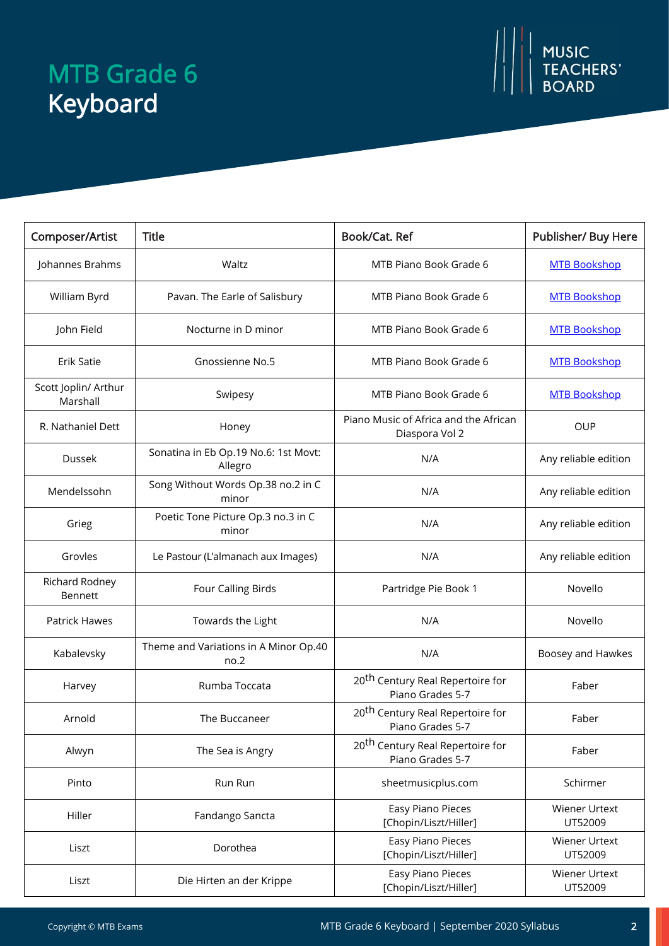# MTB Grade 6 Keyboard



| Composer/Artist                  | <b>Title</b>                                    | Book/Cat. Ref                                                    | Publisher/ Buy Here             |
|----------------------------------|-------------------------------------------------|------------------------------------------------------------------|---------------------------------|
| Johannes Brahms                  | Waltz                                           | MTB Piano Book Grade 6                                           | <b>MTB Bookshop</b>             |
| William Byrd                     | Pavan. The Earle of Salisbury                   | MTB Piano Book Grade 6                                           | <b>MTB Bookshop</b>             |
| John Field                       | Nocturne in D minor                             | MTB Piano Book Grade 6                                           | <b>MTB Bookshop</b>             |
| Erik Satie                       | Gnossienne No.5                                 | MTB Piano Book Grade 6                                           | <b>MTB Bookshop</b>             |
| Scott Joplin/ Arthur<br>Marshall | Swipesy                                         | MTB Piano Book Grade 6                                           | <b>MTB Bookshop</b>             |
| R. Nathaniel Dett                | Honey                                           | Piano Music of Africa and the African<br>Diaspora Vol 2          | <b>OUP</b>                      |
| Dussek                           | Sonatina in Eb Op.19 No.6: 1st Movt:<br>Allegro | N/A                                                              | Any reliable edition            |
| Mendelssohn                      | Song Without Words Op.38 no.2 in C<br>minor     | N/A                                                              | Any reliable edition            |
| Grieg                            | Poetic Tone Picture Op.3 no.3 in C<br>minor     | N/A                                                              | Any reliable edition            |
| Grovles                          | Le Pastour (L'almanach aux Images)              | N/A                                                              | Any reliable edition            |
| Richard Rodney<br><b>Bennett</b> | Four Calling Birds                              | Partridge Pie Book 1                                             | Novello                         |
| <b>Patrick Hawes</b>             | Towards the Light                               | N/A                                                              | Novello                         |
| Kabalevsky                       | Theme and Variations in A Minor Op.40<br>no.2   | N/A                                                              | Boosey and Hawkes               |
| Harvey                           | Rumba Toccata                                   | 20 <sup>th</sup> Century Real Repertoire for<br>Piano Grades 5-7 | Faber                           |
| Arnold                           | The Buccaneer                                   | 20 <sup>th</sup> Century Real Repertoire for<br>Piano Grades 5-7 | Faber                           |
| Alwyn                            | The Sea is Angry                                | 20 <sup>th</sup> Century Real Repertoire for<br>Piano Grades 5-7 | Faber                           |
| Pinto                            | Run Run                                         | sheetmusicplus.com                                               | Schirmer                        |
| Hiller                           | Fandango Sancta                                 | Easy Piano Pieces<br>[Chopin/Liszt/Hiller]                       | Wiener Urtext<br>UT52009        |
| Liszt                            | Dorothea                                        | Easy Piano Pieces<br>[Chopin/Liszt/Hiller]                       | <b>Wiener Urtext</b><br>UT52009 |
| Liszt                            | Die Hirten an der Krippe                        | Easy Piano Pieces<br>[Chopin/Liszt/Hiller]                       | Wiener Urtext<br>UT52009        |